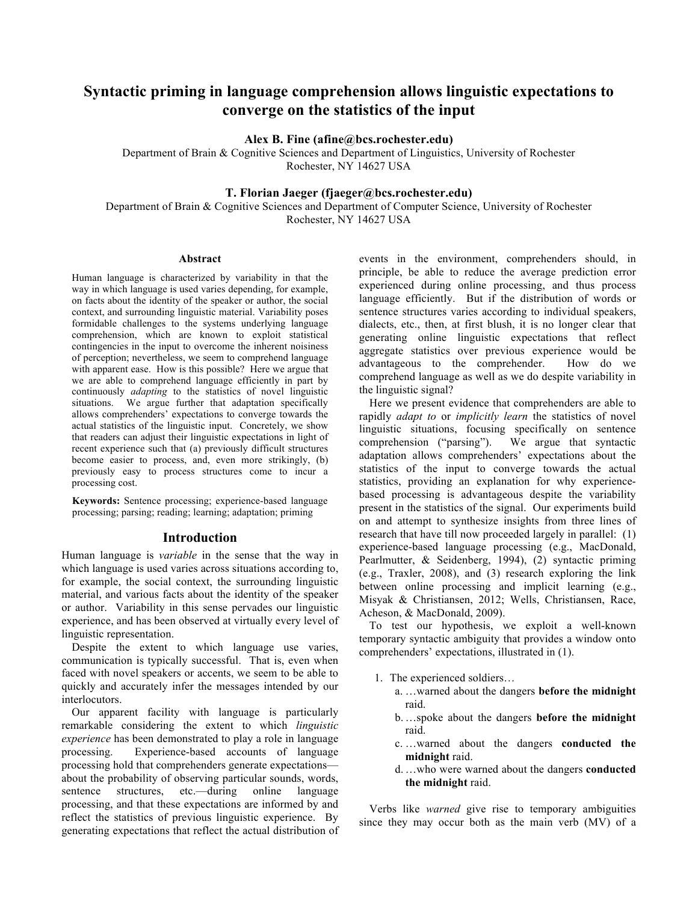# **Syntactic priming in language comprehension allows linguistic expectations to converge on the statistics of the input**

**Alex B. Fine (afine@bcs.rochester.edu)**

Department of Brain & Cognitive Sciences and Department of Linguistics, University of Rochester Rochester, NY 14627 USA

# **T. Florian Jaeger (fjaeger@bcs.rochester.edu)**

Department of Brain & Cognitive Sciences and Department of Computer Science, University of Rochester Rochester, NY 14627 USA

#### **Abstract**

Human language is characterized by variability in that the way in which language is used varies depending, for example, on facts about the identity of the speaker or author, the social context, and surrounding linguistic material. Variability poses formidable challenges to the systems underlying language comprehension, which are known to exploit statistical contingencies in the input to overcome the inherent noisiness of perception; nevertheless, we seem to comprehend language with apparent ease. How is this possible? Here we argue that we are able to comprehend language efficiently in part by continuously *adapting* to the statistics of novel linguistic situations. We argue further that adaptation specifically allows comprehenders' expectations to converge towards the actual statistics of the linguistic input. Concretely, we show that readers can adjust their linguistic expectations in light of recent experience such that (a) previously difficult structures become easier to process, and, even more strikingly, (b) previously easy to process structures come to incur a processing cost.

**Keywords:** Sentence processing; experience-based language processing; parsing; reading; learning; adaptation; priming

### **Introduction**

Human language is *variable* in the sense that the way in which language is used varies across situations according to, for example, the social context, the surrounding linguistic material, and various facts about the identity of the speaker or author. Variability in this sense pervades our linguistic experience, and has been observed at virtually every level of linguistic representation.

Despite the extent to which language use varies, communication is typically successful. That is, even when faced with novel speakers or accents, we seem to be able to quickly and accurately infer the messages intended by our interlocutors.

Our apparent facility with language is particularly remarkable considering the extent to which *linguistic experience* has been demonstrated to play a role in language processing. Experience-based accounts of language processing hold that comprehenders generate expectations about the probability of observing particular sounds, words, sentence structures, etc.—during online language processing, and that these expectations are informed by and reflect the statistics of previous linguistic experience. By generating expectations that reflect the actual distribution of events in the environment, comprehenders should, in principle, be able to reduce the average prediction error experienced during online processing, and thus process language efficiently. But if the distribution of words or sentence structures varies according to individual speakers, dialects, etc., then, at first blush, it is no longer clear that generating online linguistic expectations that reflect aggregate statistics over previous experience would be advantageous to the comprehender. How do we comprehend language as well as we do despite variability in the linguistic signal?

Here we present evidence that comprehenders are able to rapidly *adapt to* or *implicitly learn* the statistics of novel linguistic situations, focusing specifically on sentence comprehension ("parsing"). We argue that syntactic adaptation allows comprehenders' expectations about the statistics of the input to converge towards the actual statistics, providing an explanation for why experiencebased processing is advantageous despite the variability present in the statistics of the signal. Our experiments build on and attempt to synthesize insights from three lines of research that have till now proceeded largely in parallel: (1) experience-based language processing (e.g., MacDonald, Pearlmutter, & Seidenberg, 1994), (2) syntactic priming (e.g., Traxler, 2008), and (3) research exploring the link between online processing and implicit learning (e.g., Misyak & Christiansen, 2012; Wells, Christiansen, Race, Acheson, & MacDonald, 2009).

To test our hypothesis, we exploit a well-known temporary syntactic ambiguity that provides a window onto comprehenders' expectations, illustrated in (1).

- 1. The experienced soldiers…
	- a. …warned about the dangers **before the midnight**  raid.
	- b.…spoke about the dangers **before the midnight** raid.
	- c. …warned about the dangers **conducted the midnight** raid.
	- d.…who were warned about the dangers **conducted the midnight** raid.

Verbs like *warned* give rise to temporary ambiguities since they may occur both as the main verb (MV) of a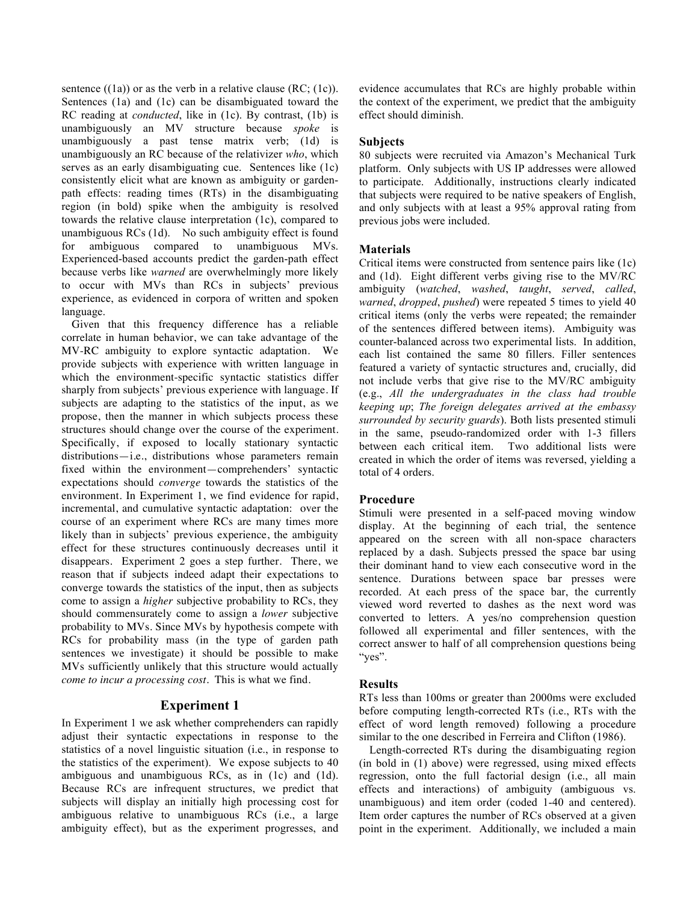sentence  $((1a))$  or as the verb in a relative clause  $(RC; (1c))$ . Sentences (1a) and (1c) can be disambiguated toward the RC reading at *conducted*, like in (1c). By contrast, (1b) is unambiguously an MV structure because *spoke* is unambiguously a past tense matrix verb; (1d) is unambiguously an RC because of the relativizer *who*, which serves as an early disambiguating cue. Sentences like (1c) consistently elicit what are known as ambiguity or gardenpath effects: reading times (RTs) in the disambiguating region (in bold) spike when the ambiguity is resolved towards the relative clause interpretation (1c), compared to unambiguous RCs (1d). No such ambiguity effect is found for ambiguous compared to unambiguous MVs. Experienced-based accounts predict the garden-path effect because verbs like *warned* are overwhelmingly more likely to occur with MVs than RCs in subjects' previous experience, as evidenced in corpora of written and spoken language.

Given that this frequency difference has a reliable correlate in human behavior, we can take advantage of the MV-RC ambiguity to explore syntactic adaptation. We provide subjects with experience with written language in which the environment-specific syntactic statistics differ sharply from subjects' previous experience with language. If subjects are adapting to the statistics of the input, as we propose, then the manner in which subjects process these structures should change over the course of the experiment. Specifically, if exposed to locally stationary syntactic distributions—i.e., distributions whose parameters remain fixed within the environment—comprehenders' syntactic expectations should *converge* towards the statistics of the environment. In Experiment 1, we find evidence for rapid, incremental, and cumulative syntactic adaptation: over the course of an experiment where RCs are many times more likely than in subjects' previous experience, the ambiguity effect for these structures continuously decreases until it disappears. Experiment 2 goes a step further. There, we reason that if subjects indeed adapt their expectations to converge towards the statistics of the input, then as subjects come to assign a *higher* subjective probability to RCs, they should commensurately come to assign a *lower* subjective probability to MVs. Since MVs by hypothesis compete with RCs for probability mass (in the type of garden path sentences we investigate) it should be possible to make MVs sufficiently unlikely that this structure would actually *come to incur a processing cost*. This is what we find.

# **Experiment 1**

In Experiment 1 we ask whether comprehenders can rapidly adjust their syntactic expectations in response to the statistics of a novel linguistic situation (i.e., in response to the statistics of the experiment). We expose subjects to 40 ambiguous and unambiguous RCs, as in (1c) and (1d). Because RCs are infrequent structures, we predict that subjects will display an initially high processing cost for ambiguous relative to unambiguous RCs (i.e., a large ambiguity effect), but as the experiment progresses, and

evidence accumulates that RCs are highly probable within the context of the experiment, we predict that the ambiguity effect should diminish.

## **Subjects**

80 subjects were recruited via Amazon's Mechanical Turk platform. Only subjects with US IP addresses were allowed to participate. Additionally, instructions clearly indicated that subjects were required to be native speakers of English, and only subjects with at least a 95% approval rating from previous jobs were included.

## **Materials**

Critical items were constructed from sentence pairs like (1c) and (1d). Eight different verbs giving rise to the MV/RC ambiguity (*watched*, *washed*, *taught*, *served*, *called*, *warned*, *dropped*, *pushed*) were repeated 5 times to yield 40 critical items (only the verbs were repeated; the remainder of the sentences differed between items). Ambiguity was counter-balanced across two experimental lists. In addition, each list contained the same 80 fillers. Filler sentences featured a variety of syntactic structures and, crucially, did not include verbs that give rise to the MV/RC ambiguity (e.g., *All the undergraduates in the class had trouble keeping up*; *The foreign delegates arrived at the embassy surrounded by security guards*). Both lists presented stimuli in the same, pseudo-randomized order with 1-3 fillers between each critical item. Two additional lists were created in which the order of items was reversed, yielding a total of 4 orders.

## **Procedure**

Stimuli were presented in a self-paced moving window display. At the beginning of each trial, the sentence appeared on the screen with all non-space characters replaced by a dash. Subjects pressed the space bar using their dominant hand to view each consecutive word in the sentence. Durations between space bar presses were recorded. At each press of the space bar, the currently viewed word reverted to dashes as the next word was converted to letters. A yes/no comprehension question followed all experimental and filler sentences, with the correct answer to half of all comprehension questions being "yes".

## **Results**

RTs less than 100ms or greater than 2000ms were excluded before computing length-corrected RTs (i.e., RTs with the effect of word length removed) following a procedure similar to the one described in Ferreira and Clifton (1986).

Length-corrected RTs during the disambiguating region (in bold in (1) above) were regressed, using mixed effects regression, onto the full factorial design (i.e., all main effects and interactions) of ambiguity (ambiguous vs. unambiguous) and item order (coded 1-40 and centered). Item order captures the number of RCs observed at a given point in the experiment. Additionally, we included a main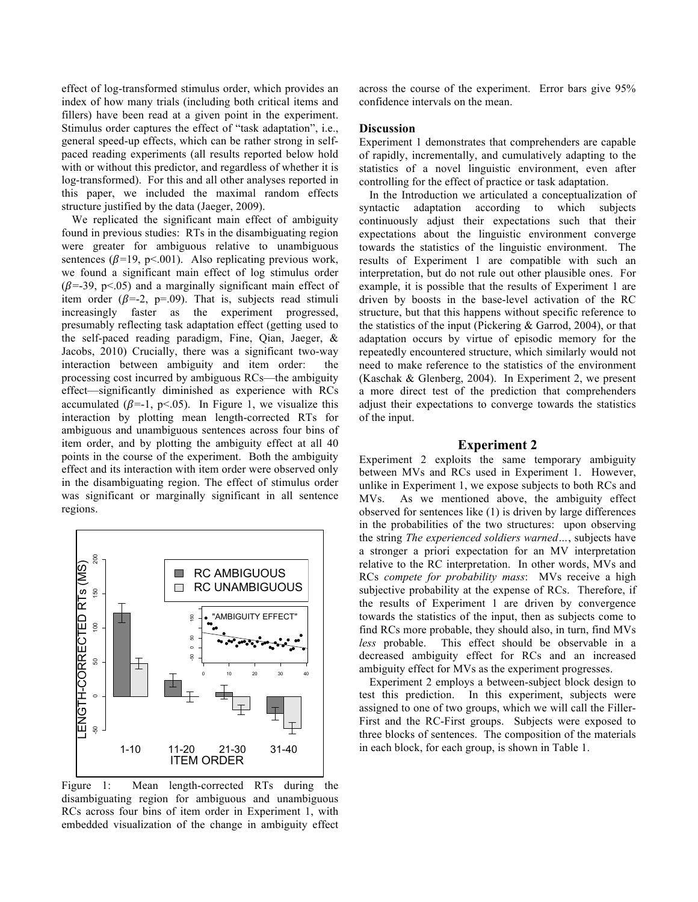effect of log-transformed stimulus order, which provides an index of how many trials (including both critical items and fillers) have been read at a given point in the experiment. Stimulus order captures the effect of "task adaptation", i.e., general speed-up effects, which can be rather strong in selfpaced reading experiments (all results reported below hold with or without this predictor, and regardless of whether it is log-transformed). For this and all other analyses reported in this paper, we included the maximal random effects structure justified by the data (Jaeger, 2009).

We replicated the significant main effect of ambiguity found in previous studies: RTs in the disambiguating region were greater for ambiguous relative to unambiguous sentences ( $\beta$ =19, p<.001). Also replicating previous work, we found a significant main effect of log stimulus order  $(\beta = 39, p<.05)$  and a marginally significant main effect of item order ( $\beta$ =-2, p=.09). That is, subjects read stimuli increasingly faster as the experiment progressed, presumably reflecting task adaptation effect (getting used to the self-paced reading paradigm, Fine, Qian, Jaeger, & Jacobs, 2010) Crucially, there was a significant two-way interaction between ambiguity and item order: the processing cost incurred by ambiguous RCs—the ambiguity effect—significantly diminished as experience with RCs accumulated ( $\beta$ =-1, p<.05). In Figure 1, we visualize this interaction by plotting mean length-corrected RTs for ambiguous and unambiguous sentences across four bins of item order, and by plotting the ambiguity effect at all 40 points in the course of the experiment. Both the ambiguity effect and its interaction with item order were observed only in the disambiguating region. The effect of stimulus order was significant or marginally significant in all sentence regions.



Figure 1: Mean length-corrected RTs during the disambiguating region for ambiguous and unambiguous RCs across four bins of item order in Experiment 1, with embedded visualization of the change in ambiguity effect

across the course of the experiment. Error bars give 95% confidence intervals on the mean.

#### **Discussion**

Experiment 1 demonstrates that comprehenders are capable of rapidly, incrementally, and cumulatively adapting to the statistics of a novel linguistic environment, even after controlling for the effect of practice or task adaptation.

In the Introduction we articulated a conceptualization of syntactic adaptation according to which subjects continuously adjust their expectations such that their expectations about the linguistic environment converge towards the statistics of the linguistic environment. The results of Experiment 1 are compatible with such an interpretation, but do not rule out other plausible ones. For example, it is possible that the results of Experiment 1 are driven by boosts in the base-level activation of the RC structure, but that this happens without specific reference to the statistics of the input (Pickering & Garrod, 2004), or that adaptation occurs by virtue of episodic memory for the repeatedly encountered structure, which similarly would not need to make reference to the statistics of the environment (Kaschak & Glenberg, 2004). In Experiment 2, we present a more direct test of the prediction that comprehenders adjust their expectations to converge towards the statistics of the input.

#### **Experiment 2**

Experiment 2 exploits the same temporary ambiguity between MVs and RCs used in Experiment 1. However, unlike in Experiment 1, we expose subjects to both RCs and MVs. As we mentioned above, the ambiguity effect observed for sentences like (1) is driven by large differences in the probabilities of the two structures: upon observing the string *The experienced soldiers warned…*, subjects have a stronger a priori expectation for an MV interpretation relative to the RC interpretation. In other words, MVs and RCs *compete for probability mass*: MVs receive a high subjective probability at the expense of RCs. Therefore, if the results of Experiment 1 are driven by convergence towards the statistics of the input, then as subjects come to find RCs more probable, they should also, in turn, find MVs *less* probable. This effect should be observable in a decreased ambiguity effect for RCs and an increased ambiguity effect for MVs as the experiment progresses.

Experiment 2 employs a between-subject block design to test this prediction. In this experiment, subjects were assigned to one of two groups, which we will call the Filler-First and the RC-First groups. Subjects were exposed to three blocks of sentences. The composition of the materials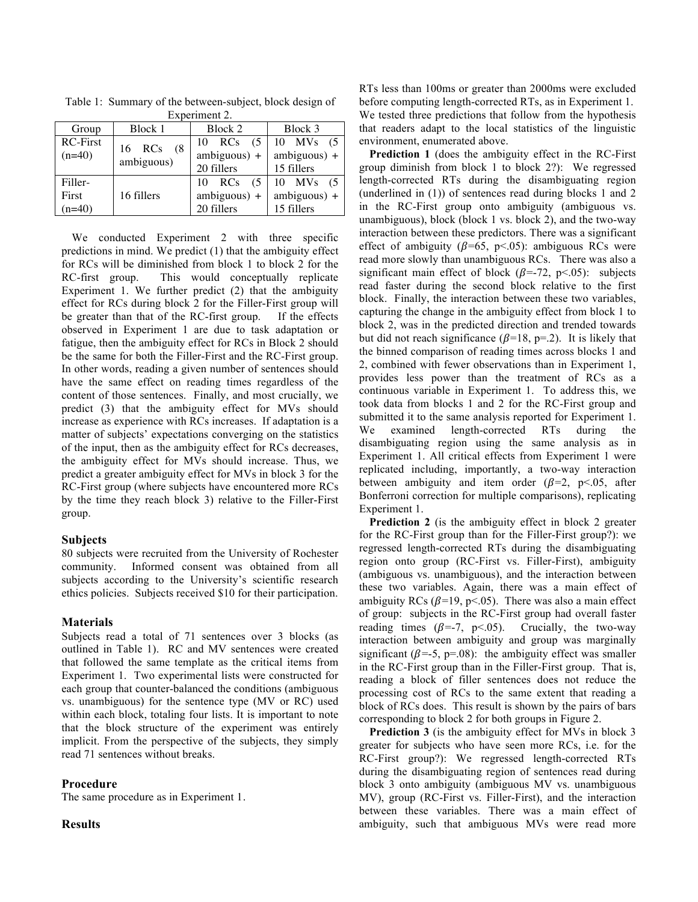| Experiment 2.                |                          |                                        |                                                             |
|------------------------------|--------------------------|----------------------------------------|-------------------------------------------------------------|
| Group                        | Block 1                  | Block 2                                | Block 3                                                     |
| <b>RC-First</b><br>$(n=40)$  | 16 RCs (8)<br>ambiguous) | 10 RCs<br>$ambiguous) +$<br>20 fillers | $(5 \mid 10 \text{ MVs} (5$<br>$ambiguous) +$<br>15 fillers |
| Filler-<br>First<br>$(n=40)$ | 16 fillers               | 10 RCs<br>$ambiguous) +$<br>20 fillers | $(5 \mid 10 \text{ MVs} (5$<br>$ambiguous) +$<br>15 fillers |

Table 1: Summary of the between-subject, block design of Experiment 2.

We conducted Experiment 2 with three specific predictions in mind. We predict (1) that the ambiguity effect for RCs will be diminished from block 1 to block 2 for the RC-first group. This would conceptually replicate Experiment 1. We further predict (2) that the ambiguity effect for RCs during block 2 for the Filler-First group will be greater than that of the RC-first group. If the effects observed in Experiment 1 are due to task adaptation or fatigue, then the ambiguity effect for RCs in Block 2 should be the same for both the Filler-First and the RC-First group. In other words, reading a given number of sentences should have the same effect on reading times regardless of the content of those sentences. Finally, and most crucially, we predict (3) that the ambiguity effect for MVs should increase as experience with RCs increases. If adaptation is a matter of subjects' expectations converging on the statistics of the input, then as the ambiguity effect for RCs decreases, the ambiguity effect for MVs should increase. Thus, we predict a greater ambiguity effect for MVs in block 3 for the RC-First group (where subjects have encountered more RCs by the time they reach block 3) relative to the Filler-First group.

#### **Subjects**

80 subjects were recruited from the University of Rochester community. Informed consent was obtained from all subjects according to the University's scientific research ethics policies. Subjects received \$10 for their participation.

#### **Materials**

Subjects read a total of 71 sentences over 3 blocks (as outlined in Table 1). RC and MV sentences were created that followed the same template as the critical items from Experiment 1. Two experimental lists were constructed for each group that counter-balanced the conditions (ambiguous vs. unambiguous) for the sentence type (MV or RC) used within each block, totaling four lists. It is important to note that the block structure of the experiment was entirely implicit. From the perspective of the subjects, they simply read 71 sentences without breaks.

## **Procedure**

The same procedure as in Experiment 1.

#### **Results**

RTs less than 100ms or greater than 2000ms were excluded before computing length-corrected RTs, as in Experiment 1. We tested three predictions that follow from the hypothesis that readers adapt to the local statistics of the linguistic environment, enumerated above.

**Prediction 1** (does the ambiguity effect in the RC-First group diminish from block 1 to block 2?): We regressed length-corrected RTs during the disambiguating region (underlined in (1)) of sentences read during blocks 1 and 2 in the RC-First group onto ambiguity (ambiguous vs. unambiguous), block (block 1 vs. block 2), and the two-way interaction between these predictors. There was a significant effect of ambiguity ( $\beta$ =65, p<.05): ambiguous RCs were read more slowly than unambiguous RCs. There was also a significant main effect of block ( $\beta$ =-72, p<.05): subjects read faster during the second block relative to the first block. Finally, the interaction between these two variables, capturing the change in the ambiguity effect from block 1 to block 2, was in the predicted direction and trended towards but did not reach significance ( $\beta$ =18, p=.2). It is likely that the binned comparison of reading times across blocks 1 and 2, combined with fewer observations than in Experiment 1, provides less power than the treatment of RCs as a continuous variable in Experiment 1. To address this, we took data from blocks 1 and 2 for the RC-First group and submitted it to the same analysis reported for Experiment 1. We examined length-corrected RTs during the disambiguating region using the same analysis as in Experiment 1. All critical effects from Experiment 1 were replicated including, importantly, a two-way interaction between ambiguity and item order  $(\beta=2, p<.05,$  after Bonferroni correction for multiple comparisons), replicating Experiment 1.

**Prediction 2** (is the ambiguity effect in block 2 greater for the RC-First group than for the Filler-First group?): we regressed length-corrected RTs during the disambiguating region onto group (RC-First vs. Filler-First), ambiguity (ambiguous vs. unambiguous), and the interaction between these two variables. Again, there was a main effect of ambiguity RCs ( $\beta$ =19, p<.05). There was also a main effect of group: subjects in the RC-First group had overall faster reading times ( $\beta$ =-7, p<.05). Crucially, the two-way interaction between ambiguity and group was marginally significant ( $\beta$ =-5, p=.08): the ambiguity effect was smaller in the RC-First group than in the Filler-First group. That is, reading a block of filler sentences does not reduce the processing cost of RCs to the same extent that reading a block of RCs does. This result is shown by the pairs of bars corresponding to block 2 for both groups in Figure 2.

**Prediction 3** (is the ambiguity effect for MVs in block 3 greater for subjects who have seen more RCs, i.e. for the RC-First group?): We regressed length-corrected RTs during the disambiguating region of sentences read during block 3 onto ambiguity (ambiguous MV vs. unambiguous MV), group (RC-First vs. Filler-First), and the interaction between these variables. There was a main effect of ambiguity, such that ambiguous MVs were read more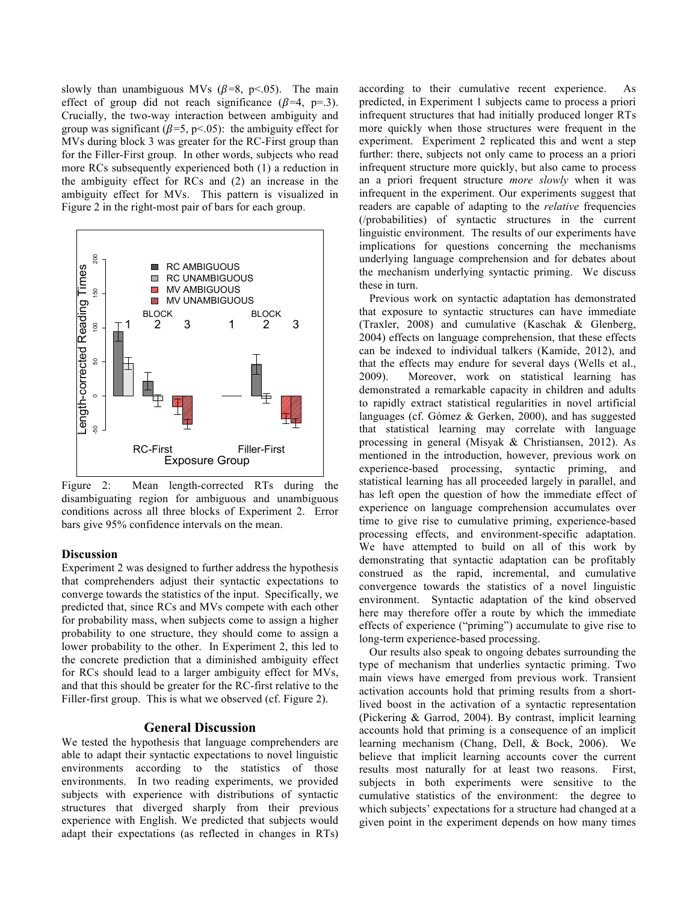slowly than unambiguous MVs  $(\beta=8, \, p<.05)$ . The main effect of group did not reach significance  $(\beta=4, p=.3)$ . Crucially, the two-way interaction between ambiguity and group was significant ( $\beta$ =5, p<.05): the ambiguity effect for MVs during block 3 was greater for the RC-First group than for the Filler-First group. In other words, subjects who read more RCs subsequently experienced both (1) a reduction in the ambiguity effect for RCs and (2) an increase in the ambiguity effect for MVs. This pattern is visualized in Figure 2 in the right-most pair of bars for each group.



Figure 2: Mean length-corrected RTs during the disambiguating region for ambiguous and unambiguous conditions across all three blocks of Experiment 2. Error bars give 95% confidence intervals on the mean.

#### **Discussion**

Experiment 2 was designed to further address the hypothesis that comprehenders adjust their syntactic expectations to converge towards the statistics of the input. Specifically, we predicted that, since RCs and MVs compete with each other for probability mass, when subjects come to assign a higher probability to one structure, they should come to assign a lower probability to the other. In Experiment 2, this led to the concrete prediction that a diminished ambiguity effect for RCs should lead to a larger ambiguity effect for MVs, and that this should be greater for the RC-first relative to the Filler-first group. This is what we observed (cf. Figure 2).

#### **General Discussion**

We tested the hypothesis that language comprehenders are able to adapt their syntactic expectations to novel linguistic environments according to the statistics of those environments. In two reading experiments, we provided subjects with experience with distributions of syntactic structures that diverged sharply from their previous experience with English. We predicted that subjects would adapt their expectations (as reflected in changes in RTs) according to their cumulative recent experience. As predicted, in Experiment 1 subjects came to process a priori infrequent structures that had initially produced longer RTs more quickly when those structures were frequent in the experiment. Experiment 2 replicated this and went a step further: there, subjects not only came to process an a priori infrequent structure more quickly, but also came to process an a priori frequent structure *more slowly* when it was infrequent in the experiment. Our experiments suggest that readers are capable of adapting to the *relative* frequencies (/probabilities) of syntactic structures in the current linguistic environment. The results of our experiments have implications for questions concerning the mechanisms underlying language comprehension and for debates about the mechanism underlying syntactic priming. We discuss these in turn.

Previous work on syntactic adaptation has demonstrated that exposure to syntactic structures can have immediate (Traxler, 2008) and cumulative (Kaschak & Glenberg, 2004) effects on language comprehension, that these effects can be indexed to individual talkers (Kamide, 2012), and that the effects may endure for several days (Wells et al., 2009). Moreover, work on statistical learning has demonstrated a remarkable capacity in children and adults to rapidly extract statistical regularities in novel artificial languages (cf. Gómez & Gerken, 2000), and has suggested that statistical learning may correlate with language processing in general (Misyak & Christiansen, 2012). As mentioned in the introduction, however, previous work on experience-based processing, syntactic priming, and statistical learning has all proceeded largely in parallel, and has left open the question of how the immediate effect of experience on language comprehension accumulates over time to give rise to cumulative priming, experience-based processing effects, and environment-specific adaptation. We have attempted to build on all of this work by demonstrating that syntactic adaptation can be profitably construed as the rapid, incremental, and cumulative convergence towards the statistics of a novel linguistic environment. Syntactic adaptation of the kind observed here may therefore offer a route by which the immediate effects of experience ("priming") accumulate to give rise to long-term experience-based processing.

Our results also speak to ongoing debates surrounding the type of mechanism that underlies syntactic priming. Two main views have emerged from previous work. Transient activation accounts hold that priming results from a shortlived boost in the activation of a syntactic representation (Pickering & Garrod, 2004). By contrast, implicit learning accounts hold that priming is a consequence of an implicit learning mechanism (Chang, Dell, & Bock, 2006). We believe that implicit learning accounts cover the current results most naturally for at least two reasons. First, subjects in both experiments were sensitive to the cumulative statistics of the environment: the degree to which subjects' expectations for a structure had changed at a given point in the experiment depends on how many times